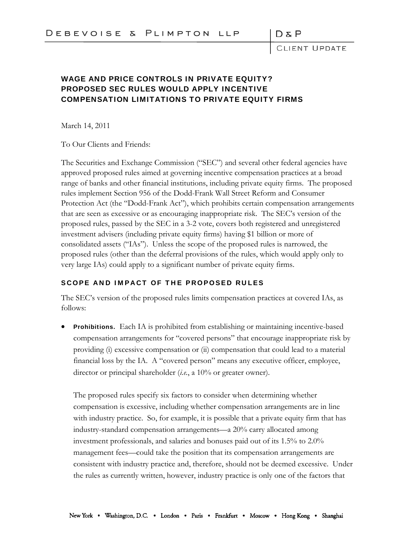D & P<br>CLIENT UPDATE

## WAGE AND PRICE CONTROLS IN PRIVATE EQUITY? PROPOSED SEC RULES WOULD APPLY INCENTIVE COMPENSATION LIMITATIONS TO PRIVATE EQUITY FIRMS

March 14, 2011

To Our Clients and Friends:

The Securities and Exchange Commission ("SEC") and several other federal agencies have approved proposed rules aimed at governing incentive compensation practices at a broad range of banks and other financial institutions, including private equity firms. The proposed rules implement Section 956 of the Dodd-Frank Wall Street Reform and Consumer Protection Act (the "Dodd-Frank Act"), which prohibits certain compensation arrangements that are seen as excessive or as encouraging inappropriate risk. The SEC's version of the proposed rules, passed by the SEC in a 3-2 vote, covers both registered and unregistered investment advisers (including private equity firms) having \$1 billion or more of consolidated assets ("IAs"). Unless the scope of the proposed rules is narrowed, the proposed rules (other than the deferral provisions of the rules, which would apply only to very large IAs) could apply to a significant number of private equity firms.

## SCOPE AND IMPACT OF THE PROPOSED RULES

The SEC's version of the proposed rules limits compensation practices at covered IAs, as follows:

**Prohibitions.** Each IA is prohibited from establishing or maintaining incentive-based compensation arrangements for "covered persons" that encourage inappropriate risk by providing (i) excessive compensation or (ii) compensation that could lead to a material financial loss by the IA. A "covered person" means any executive officer, employee, director or principal shareholder (*i.e.*, a 10% or greater owner).

The proposed rules specify six factors to consider when determining whether compensation is excessive, including whether compensation arrangements are in line with industry practice. So, for example, it is possible that a private equity firm that has industry-standard compensation arrangements—a 20% carry allocated among investment professionals, and salaries and bonuses paid out of its 1.5% to 2.0% management fees—could take the position that its compensation arrangements are consistent with industry practice and, therefore, should not be deemed excessive. Under the rules as currently written, however, industry practice is only one of the factors that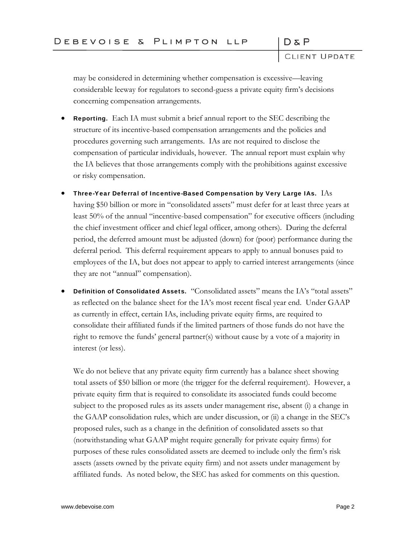CLIENT UPDATE

 $D \& P$ 

may be considered in determining whether compensation is excessive—leaving considerable leeway for regulators to second-guess a private equity firm's decisions concerning compensation arrangements.

- Reporting. Each IA must submit a brief annual report to the SEC describing the structure of its incentive-based compensation arrangements and the policies and procedures governing such arrangements. IAs are not required to disclose the compensation of particular individuals, however. The annual report must explain why the IA believes that those arrangements comply with the prohibitions against excessive or risky compensation.
- Three-Year Deferral of Incentive-Based Compensation by Very Large IAs. IAs having \$50 billion or more in "consolidated assets" must defer for at least three years at least 50% of the annual "incentive-based compensation" for executive officers (including the chief investment officer and chief legal officer, among others). During the deferral period, the deferred amount must be adjusted (down) for (poor) performance during the deferral period. This deferral requirement appears to apply to annual bonuses paid to employees of the IA, but does not appear to apply to carried interest arrangements (since they are not "annual" compensation).
- Definition of Consolidated Assets. "Consolidated assets" means the IA's "total assets" as reflected on the balance sheet for the IA's most recent fiscal year end. Under GAAP as currently in effect, certain IAs, including private equity firms, are required to consolidate their affiliated funds if the limited partners of those funds do not have the right to remove the funds' general partner(s) without cause by a vote of a majority in interest (or less).

We do not believe that any private equity firm currently has a balance sheet showing total assets of \$50 billion or more (the trigger for the deferral requirement). However, a private equity firm that is required to consolidate its associated funds could become subject to the proposed rules as its assets under management rise, absent (i) a change in the GAAP consolidation rules, which are under discussion, or (ii) a change in the SEC's proposed rules, such as a change in the definition of consolidated assets so that (notwithstanding what GAAP might require generally for private equity firms) for purposes of these rules consolidated assets are deemed to include only the firm's risk assets (assets owned by the private equity firm) and not assets under management by affiliated funds. As noted below, the SEC has asked for comments on this question.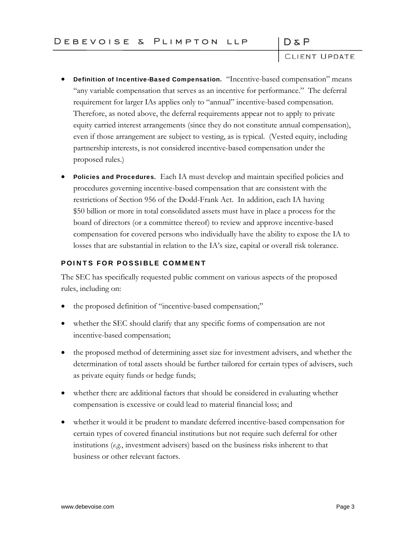$D \& P$ 

CLIENT UPDATE

- Definition of Incentive-Based Compensation. "Incentive-based compensation" means "any variable compensation that serves as an incentive for performance." The deferral requirement for larger IAs applies only to "annual" incentive-based compensation. Therefore, as noted above, the deferral requirements appear not to apply to private equity carried interest arrangements (since they do not constitute annual compensation), even if those arrangement are subject to vesting, as is typical. (Vested equity, including partnership interests, is not considered incentive-based compensation under the proposed rules.)
- **Policies and Procedures.** Each IA must develop and maintain specified policies and procedures governing incentive-based compensation that are consistent with the restrictions of Section 956 of the Dodd-Frank Act. In addition, each IA having \$50 billion or more in total consolidated assets must have in place a process for the board of directors (or a committee thereof) to review and approve incentive-based compensation for covered persons who individually have the ability to expose the IA to losses that are substantial in relation to the IA's size, capital or overall risk tolerance.

## POINTS FOR POSSIBLE COMMENT

The SEC has specifically requested public comment on various aspects of the proposed rules, including on:

- the proposed definition of "incentive-based compensation;"
- whether the SEC should clarify that any specific forms of compensation are not incentive-based compensation;
- the proposed method of determining asset size for investment advisers, and whether the determination of total assets should be further tailored for certain types of advisers, such as private equity funds or hedge funds;
- whether there are additional factors that should be considered in evaluating whether compensation is excessive or could lead to material financial loss; and
- whether it would it be prudent to mandate deferred incentive-based compensation for certain types of covered financial institutions but not require such deferral for other institutions (*e.g.*, investment advisers) based on the business risks inherent to that business or other relevant factors.